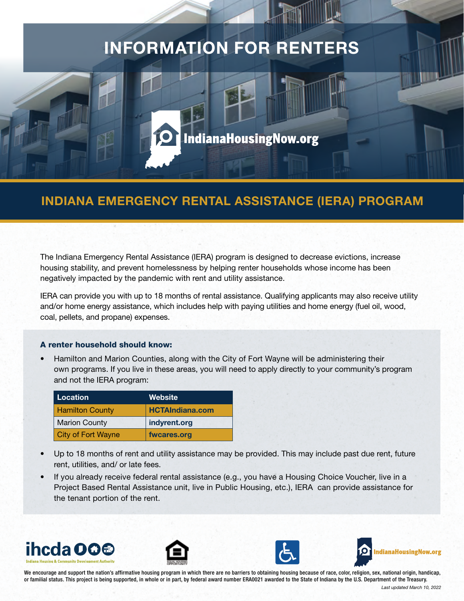## INFORMATION FOR RENTERS

# **IndianaHousingNow.org**

## INDIANA EMERGENCY RENTAL ASSISTANCE (IERA) PROGRAM

The Indiana Emergency Rental Assistance (IERA) program is designed to decrease evictions, increase housing stability, and prevent homelessness by helping renter households whose income has been negatively impacted by the pandemic with rent and utility assistance.

IERA can provide you with up to 18 months of rental assistance. Qualifying applicants may also receive utility and/or home energy assistance, which includes help with paying utilities and home energy (fuel oil, wood, coal, pellets, and propane) expenses.

#### A renter household should know:

• Hamilton and Marion Counties, along with the City of Fort Wayne will be administering their own programs. If you live in these areas, you will need to apply directly to your community's program and not the IERA program:

| Location                  | <b>Website</b>         |
|---------------------------|------------------------|
| <b>Hamilton County</b>    | <b>HCTAIndiana.com</b> |
| <b>Marion County</b>      | indyrent.org           |
| <b>City of Fort Wayne</b> | fwcares.org            |

- Up to 18 months of rent and utility assistance may be provided. This may include past due rent, future rent, utilities, and/ or late fees.
- If you already receive federal rental assistance (e.g., you have a Housing Choice Voucher, live in a Project Based Rental Assistance unit, live in Public Housing, etc.), IERA can provide assistance for the tenant portion of the rent.









We encourage and support the nation's affirmative housing program in which there are no barriers to obtaining housing because of race, color, religion, sex, national origin, handicap, or familial status. This project is being supported, in whole or in part, by federal award number ERA0021 awarded to the State of Indiana by the U.S. Department of the Treasury.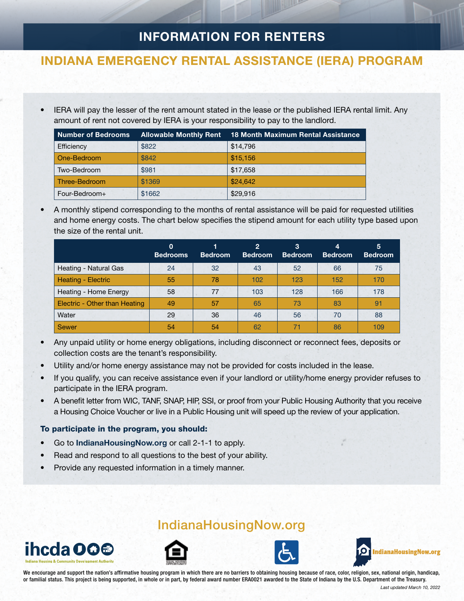## INFORMATION FOR RENTERS

### INDIANA EMERGENCY RENTAL ASSISTANCE (IERA) PROGRAM

• IERA will pay the lesser of the rent amount stated in the lease or the published IERA rental limit. Any amount of rent not covered by IERA is your responsibility to pay to the landlord.

| <b>Number of Bedrooms</b> | <b>Allowable Monthly Rent</b> | <b>18 Month Maximum Rental Assistance</b> |
|---------------------------|-------------------------------|-------------------------------------------|
| Efficiency                | \$822                         | \$14,796                                  |
| One-Bedroom               | \$842                         | \$15.156                                  |
| Two-Bedroom               | \$981                         | \$17,658                                  |
| Three-Bedroom             | \$1369                        | \$24,642                                  |
| Four-Bedroom+             | \$1662                        | \$29,916                                  |

• A monthly stipend corresponding to the months of rental assistance will be paid for requested utilities and home energy costs. The chart below specifies the stipend amount for each utility type based upon the size of the rental unit.

|                                      | 0<br><b>Bedrooms</b> | <b>Bedroom</b> | $\overline{2}$<br><b>Bedroom</b> | 3<br><b>Bedroom</b> | 4<br><b>Bedroom</b> | 5<br><b>Bedroom</b> |
|--------------------------------------|----------------------|----------------|----------------------------------|---------------------|---------------------|---------------------|
| Heating - Natural Gas                | 24                   | 32             | 43                               | 52                  | 66                  | 75                  |
| Heating - Electric                   | 55                   | 78             | 102                              | 123                 | 152                 | 170                 |
| Heating - Home Energy                | 58                   | 77             | 103                              | 128                 | 166                 | 178                 |
| <b>Electric - Other than Heating</b> | 49                   | 57             | 65                               | 73                  | 83                  | 91                  |
| Water                                | 29                   | 36             | 46                               | 56                  | 70                  | 88                  |
| Sewer                                | 54                   | 54             | 62                               | 71                  | 86                  | 109                 |

- Any unpaid utility or home energy obligations, including disconnect or reconnect fees, deposits or collection costs are the tenant's responsibility.
- Utility and/or home energy assistance may not be provided for costs included in the lease.
- If you qualify, you can receive assistance even if your landlord or utility/home energy provider refuses to participate in the IERA program.
- A benefit letter from WIC, TANF, SNAP, HIP, SSI, or proof from your Public Housing Authority that you receive a Housing Choice Voucher or live in a Public Housing unit will speed up the review of your application.

#### To participate in the program, you should:

- Go to [IndianaHousingNow.org](http://www.indianahousingnow.org/) or call 2-1-1 to apply.
- Read and respond to all questions to the best of your ability.
- Provide any requested information in a timely manner.



## [IndianaHousingNow.org](http://www.indianahousingnow.org/)







We encourage and support the nation's affirmative housing program in which there are no barriers to obtaining housing because of race, color, religion, sex, national origin, handicap, or familial status. This project is being supported, in whole or in part, by federal award number ERA0021 awarded to the State of Indiana by the U.S. Department of the Treasury.